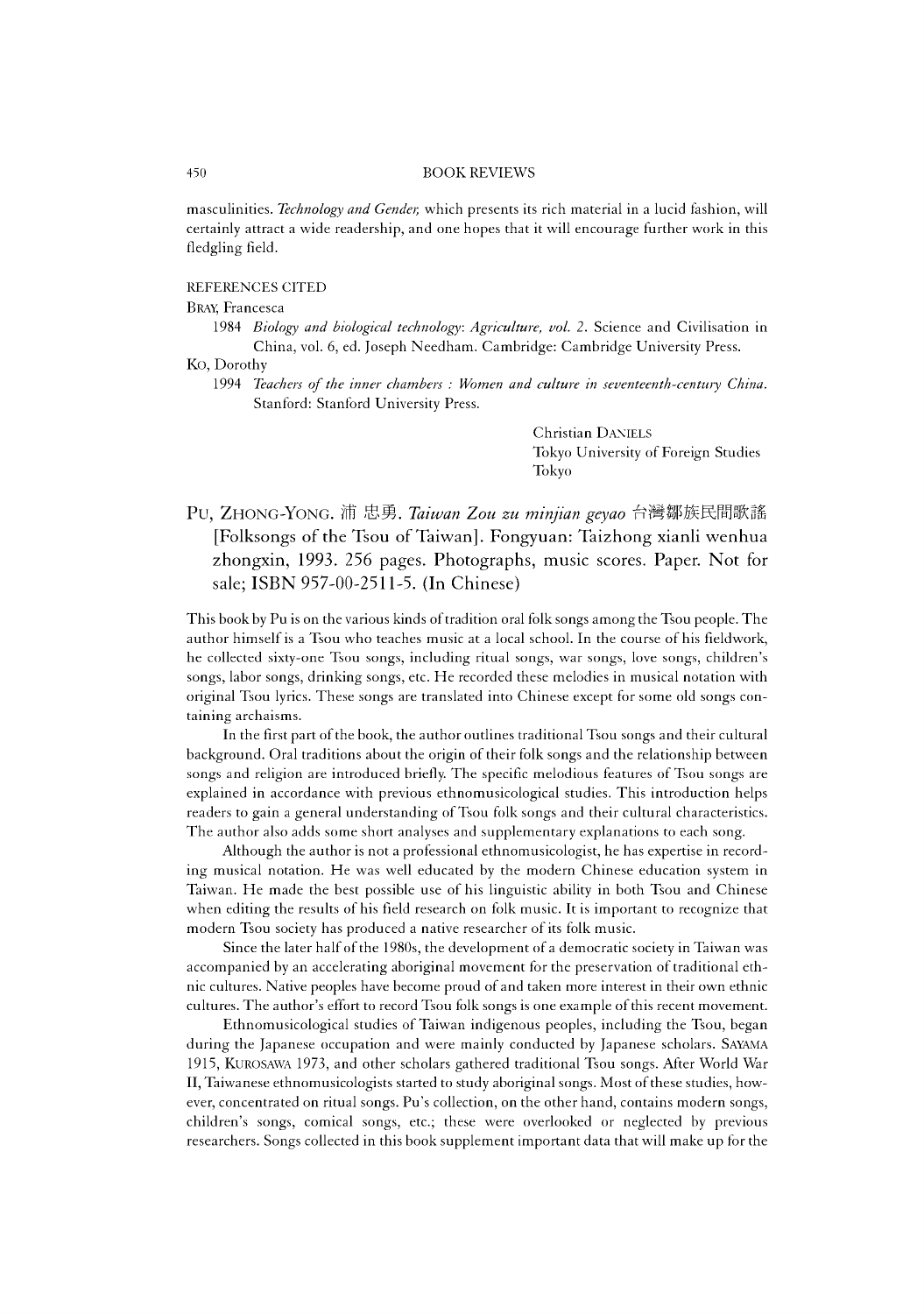### 450 BOOK REVIEWS

masculinities. *Technology and Gender,* which presents its rich material in a lucid fashion, will certainly attract a wide readership, and one hopes that it will encourage further work in this fledgling field.

# REFERENCES CITED

## BRAY, Francesca

1984 *Biology and biological technology. Agriculture, vol.* 2. Science and Civilisation in China, vol.6 ed. Joseph Needham. Cambridge: Cambridge University Press.

# Ko, Dorothy

1994 *Teachers of the inner chambers : Women and culture in seventeenth-century China.* Stanford: Stanford University Press.

> Christian DANIELS Tokyo University of Foreign Studies Tokyo

PU, ZHONG-YONG. 浦 忠勇. *Taiwan Zou zu minjian geyao* 台灣鄒族民間歌謠 [Folksongs of the Tsou of Taiwan]. Fongyuan: Taizhong xianli wenhua zhongxin, 1993. 256 pages. Photographs, music scores. Paper. Not for sale; ISBN 957-00-2511-5. (In Chinese)

This book by Pu is on the various kinds of tradition oral folk songs among the Tsou people. The author himself is a Tsou who teaches music at a local school. In the course of his fieldwork, he collected sixty-one Tsou songs, including ritual songs, war songs, love songs, children's songs, labor songs, drinking songs, etc. He recorded these melodies in musical notation with original Tsou lyrics. These songs are translated into Chinese except for some old songs containing archaisms.

In the first part of the book, the author outlines traditional Tsou songs and their cultural background. Oral traditions about the origin of their folk songs and the relationship between songs and religion are introduced briefly. The specific melodious features of Tsou songs are explained in accordance with previous ethnomusicological studies. This introduction helps readers to gain a general understanding of Tsou folk songs and their cultural characteristics. The author also adds some short analyses and supplementary explanations to each song.

Although the author is not a professional ethnomusicologist, he has expertise in recording musical notation. He was well educated by the modern Chinese education system in Taiwan. He made the best possible use of his linguistic ability in both Tsou and Chinese when editing the results of his field research on folk music. It is important to recognize that modern Tsou society has produced a native researcher of its folk music.

Since the later half of the 1980s, the development of a democratic society in Taiwan was accompanied by an accelerating aboriginal movement for the preservation of traditional ethnic cultures. Native peoples have become proud of and taken more interest in their own ethnic cultures. The author's effort to record Tsou folk songs is one example of this recent movement.

Ethnomusicological studies of laiwan indigenous peoples, including the Tsou, began during the Japanese occupation and were mainly conducted by Japanese scholars. SAYAMA 1915 KUROSAWA 1973, and other scholars gathered traditional Tsou songs. After World War II, Taiwanese ethnomusicologists started to study aboriginal songs. Most of these studies, however, concentrated on ritual songs. Pu's collection, on the other hand, contains modern songs, children's songs, comical songs, etc.; these were overlooked or neglected by previous researchers. Songs collected in this book supplement important data that will make up for the